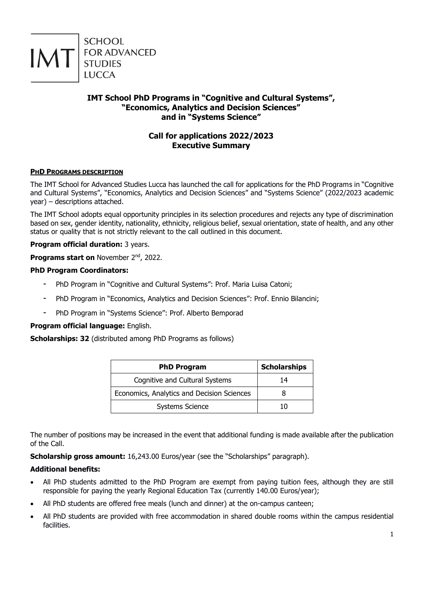

# **IMT School PhD Programs in "Cognitive and Cultural Systems", "Economics, Analytics and Decision Sciences" and in "Systems Science"**

# **Call for applications 2022/2023 Executive Summary**

# **PHD PROGRAMS DESCRIPTION**

The IMT School for Advanced Studies Lucca has launched the call for applications for the PhD Programs in "Cognitive and Cultural Systems", "Economics, Analytics and Decision Sciences" and "Systems Science" (2022/2023 academic year) – descriptions attached.

The IMT School adopts equal opportunity principles in its selection procedures and rejects any type of discrimination based on sex, gender identity, nationality, ethnicity, religious belief, sexual orientation, state of health, and any other status or quality that is not strictly relevant to the call outlined in this document.

# **Program official duration:** 3 years.

**Programs start on** November 2<sup>nd</sup>, 2022.

# **PhD Program Coordinators:**

- PhD Program in "Cognitive and Cultural Systems": Prof. Maria Luisa Catoni;
- PhD Program in "Economics, Analytics and Decision Sciences": Prof. Ennio Bilancini;
- PhD Program in "Systems Science": Prof. Alberto Bemporad

# **Program official language:** English.

**Scholarships: 32** (distributed among PhD Programs as follows)

| <b>PhD Program</b>                         | <b>Scholarships</b> |
|--------------------------------------------|---------------------|
| Cognitive and Cultural Systems             | 14                  |
| Economics, Analytics and Decision Sciences |                     |
| <b>Systems Science</b>                     | 10                  |

The number of positions may be increased in the event that additional funding is made available after the publication of the Call.

**Scholarship gross amount:** 16,243.00 Euros/year (see the "Scholarships" paragraph).

# **Additional benefits:**

- All PhD students admitted to the PhD Program are exempt from paying tuition fees, although they are still responsible for paying the yearly Regional Education Tax (currently 140.00 Euros/year);
- All PhD students are offered free meals (lunch and dinner) at the on-campus canteen;
- All PhD students are provided with free accommodation in shared double rooms within the campus residential facilities.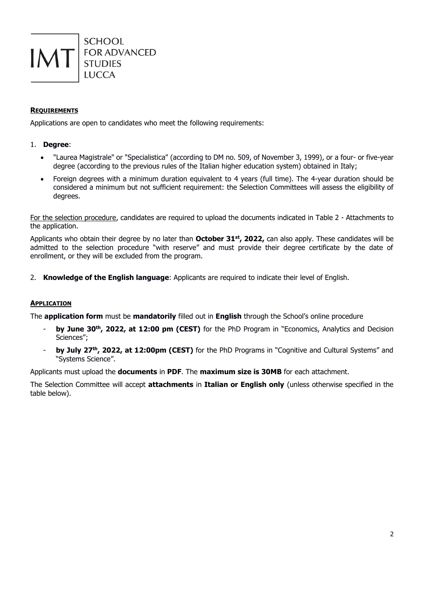

# **REQUIREMENTS**

Applications are open to candidates who meet the following requirements:

# 1. **Degree**:

- "Laurea Magistrale" or "Specialistica" (according to DM no. 509, of November 3, 1999), or a four- or five-year degree (according to the previous rules of the Italian higher education system) obtained in Italy;
- Foreign degrees with a minimum duration equivalent to 4 years (full time). The 4-year duration should be considered a minimum but not sufficient requirement: the Selection Committees will assess the eligibility of degrees.

For the selection procedure, candidates are required to upload the documents indicated in Table 2 - Attachments to the application.

Applicants who obtain their degree by no later than **October 31st, 2022,** can also apply. These candidates will be admitted to the selection procedure "with reserve" and must provide their degree certificate by the date of enrollment, or they will be excluded from the program.

2. **Knowledge of the English language**: Applicants are required to indicate their level of English.

# **APPLICATION**

The **application form** must be **mandatorily** filled out in **English** through the School's online procedure

- **by June 30th, 2022, at 12:00 pm (CEST)** for the PhD Program in "Economics, Analytics and Decision Sciences";
- **by July 27<sup>th</sup>, 2022, at 12:00pm (CEST)** for the PhD Programs in "Cognitive and Cultural Systems" and "Systems Science".

Applicants must upload the **documents** in **PDF**. The **maximum size is 30MB** for each attachment.

The Selection Committee will accept **attachments** in **Italian or English only** (unless otherwise specified in the table below).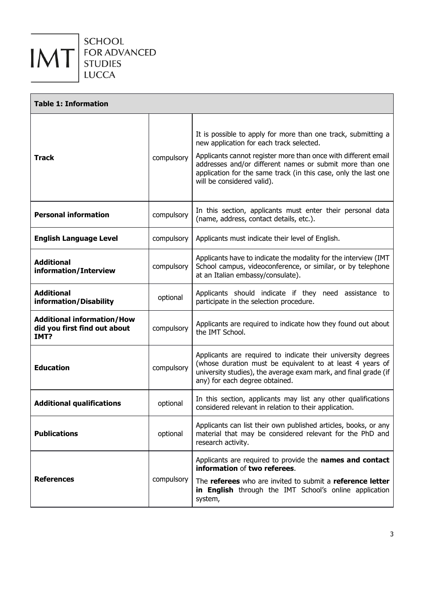

| <b>Table 1: Information</b>                                               |            |                                                                                                                                                                                                                                                                                                                                          |  |
|---------------------------------------------------------------------------|------------|------------------------------------------------------------------------------------------------------------------------------------------------------------------------------------------------------------------------------------------------------------------------------------------------------------------------------------------|--|
| <b>Track</b>                                                              | compulsory | It is possible to apply for more than one track, submitting a<br>new application for each track selected.<br>Applicants cannot register more than once with different email<br>addresses and/or different names or submit more than one<br>application for the same track (in this case, only the last one<br>will be considered valid). |  |
| <b>Personal information</b>                                               | compulsory | In this section, applicants must enter their personal data<br>(name, address, contact details, etc.).                                                                                                                                                                                                                                    |  |
| <b>English Language Level</b>                                             | compulsory | Applicants must indicate their level of English.                                                                                                                                                                                                                                                                                         |  |
| <b>Additional</b><br>information/Interview                                | compulsory | Applicants have to indicate the modality for the interview (IMT<br>School campus, videoconference, or similar, or by telephone<br>at an Italian embassy/consulate).                                                                                                                                                                      |  |
| <b>Additional</b><br>information/Disability                               | optional   | Applicants should indicate if they need assistance to<br>participate in the selection procedure.                                                                                                                                                                                                                                         |  |
| <b>Additional information/How</b><br>did you first find out about<br>IMT? | compulsory | Applicants are required to indicate how they found out about<br>the IMT School.                                                                                                                                                                                                                                                          |  |
| <b>Education</b>                                                          | compulsory | Applicants are required to indicate their university degrees<br>(whose duration must be equivalent to at least 4 years of<br>university studies), the average exam mark, and final grade (if<br>any) for each degree obtained.                                                                                                           |  |
| <b>Additional qualifications</b>                                          | optional   | In this section, applicants may list any other qualifications<br>considered relevant in relation to their application.                                                                                                                                                                                                                   |  |
| <b>Publications</b>                                                       | optional   | Applicants can list their own published articles, books, or any<br>material that may be considered relevant for the PhD and<br>research activity.                                                                                                                                                                                        |  |
| <b>References</b>                                                         | compulsory | Applicants are required to provide the names and contact<br>information of two referees.<br>The referees who are invited to submit a reference letter<br>in English through the IMT School's online application<br>system,                                                                                                               |  |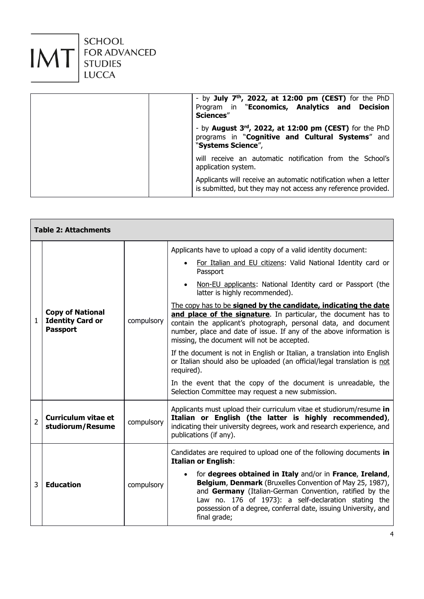

| - by July $7th$ , 2022, at 12:00 pm (CEST) for the PhD<br>Program in "Economics, Analytics and Decision<br>Sciences"             |
|----------------------------------------------------------------------------------------------------------------------------------|
| - by August 3rd, 2022, at 12:00 pm (CEST) for the PhD<br>programs in "Cognitive and Cultural Systems" and<br>"Systems Science",  |
| will receive an automatic notification from the School's<br>application system.                                                  |
| Applicants will receive an automatic notification when a letter<br>is submitted, but they may not access any reference provided. |

|                | <b>Table 2: Attachments</b>                                           |            |                                                                                                                                                                                                                                                                                                                                                                                                                                                                                                                                                                                                                                                                                                                                                                                                                                                                      |
|----------------|-----------------------------------------------------------------------|------------|----------------------------------------------------------------------------------------------------------------------------------------------------------------------------------------------------------------------------------------------------------------------------------------------------------------------------------------------------------------------------------------------------------------------------------------------------------------------------------------------------------------------------------------------------------------------------------------------------------------------------------------------------------------------------------------------------------------------------------------------------------------------------------------------------------------------------------------------------------------------|
| $\mathbf{1}$   | <b>Copy of National</b><br><b>Identity Card or</b><br><b>Passport</b> | compulsory | Applicants have to upload a copy of a valid identity document:<br>For Italian and EU citizens: Valid National Identity card or<br>Passport<br>Non-EU applicants: National Identity card or Passport (the<br>latter is highly recommended).<br>The copy has to be signed by the candidate, indicating the date<br>and place of the signature. In particular, the document has to<br>contain the applicant's photograph, personal data, and document<br>number, place and date of issue. If any of the above information is<br>missing, the document will not be accepted.<br>If the document is not in English or Italian, a translation into English<br>or Italian should also be uploaded (an official/legal translation is not<br>required).<br>In the event that the copy of the document is unreadable, the<br>Selection Committee may request a new submission. |
| $\overline{2}$ | <b>Curriculum vitae et</b><br>studiorum/Resume                        | compulsory | Applicants must upload their curriculum vitae et studiorum/resume in<br>Italian or English (the latter is highly recommended),<br>indicating their university degrees, work and research experience, and<br>publications (if any).                                                                                                                                                                                                                                                                                                                                                                                                                                                                                                                                                                                                                                   |
| 3              | <b>Education</b>                                                      | compulsory | Candidates are required to upload one of the following documents in<br><b>Italian or English:</b><br>for degrees obtained in Italy and/or in France, Ireland,<br>Belgium, Denmark (Bruxelles Convention of May 25, 1987),<br>and Germany (Italian-German Convention, ratified by the<br>Law no. 176 of 1973): a self-declaration stating the<br>possession of a degree, conferral date, issuing University, and<br>final grade;                                                                                                                                                                                                                                                                                                                                                                                                                                      |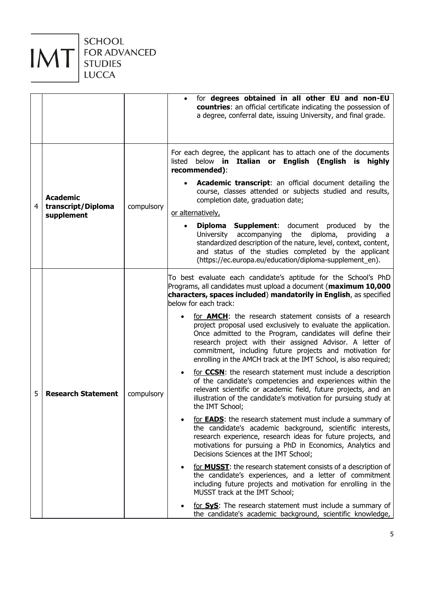

SCHOOL<br>FOR ADVANCED<br>STUDIES LUCCA

|   |                                  |            | for degrees obtained in all other EU and non-EU<br>$\bullet$<br>countries: an official certificate indicating the possession of<br>a degree, conferral date, issuing University, and final grade.                                                                                                                                                                                            |
|---|----------------------------------|------------|----------------------------------------------------------------------------------------------------------------------------------------------------------------------------------------------------------------------------------------------------------------------------------------------------------------------------------------------------------------------------------------------|
|   | <b>Academic</b>                  |            | For each degree, the applicant has to attach one of the documents<br>Italian or English (English is<br>below <b>in</b><br>highly<br>listed<br>recommended):                                                                                                                                                                                                                                  |
| 4 |                                  |            | Academic transcript: an official document detailing the<br>course, classes attended or subjects studied and results,<br>completion date, graduation date;                                                                                                                                                                                                                                    |
|   | transcript/Diploma<br>supplement | compulsory | or alternatively,                                                                                                                                                                                                                                                                                                                                                                            |
|   |                                  |            | <b>Supplement:</b> document produced<br><b>Diploma</b><br>by the<br>accompanying the<br>diploma,<br>University<br>providing<br>a<br>standardized description of the nature, level, context, content,<br>and status of the studies completed by the applicant<br>(https://ec.europa.eu/education/diploma-supplement_en).                                                                      |
| 5 | <b>Research Statement</b>        | compulsory | To best evaluate each candidate's aptitude for the School's PhD<br>Programs, all candidates must upload a document (maximum 10,000<br>characters, spaces included) mandatorily in English, as specified<br>below for each track:                                                                                                                                                             |
|   |                                  |            | for <b>AMCH</b> : the research statement consists of a research<br>project proposal used exclusively to evaluate the application.<br>Once admitted to the Program, candidates will define their<br>research project with their assigned Advisor. A letter of<br>commitment, including future projects and motivation for<br>enrolling in the AMCH track at the IMT School, is also required; |
|   |                                  |            | for <b>CCSN</b> : the research statement must include a description<br>of the candidate's competencies and experiences within the<br>relevant scientific or academic field, future projects, and an<br>illustration of the candidate's motivation for pursuing study at<br>the IMT School;                                                                                                   |
|   |                                  |            | for <b>EADS</b> : the research statement must include a summary of<br>the candidate's academic background, scientific interests,<br>research experience, research ideas for future projects, and<br>motivations for pursuing a PhD in Economics, Analytics and<br>Decisions Sciences at the IMT School;                                                                                      |
|   |                                  |            | for <b>MUSST</b> : the research statement consists of a description of<br>the candidate's experiences, and a letter of commitment<br>including future projects and motivation for enrolling in the<br>MUSST track at the IMT School;                                                                                                                                                         |
|   |                                  |            | for SyS: The research statement must include a summary of<br>the candidate's academic background, scientific knowledge,                                                                                                                                                                                                                                                                      |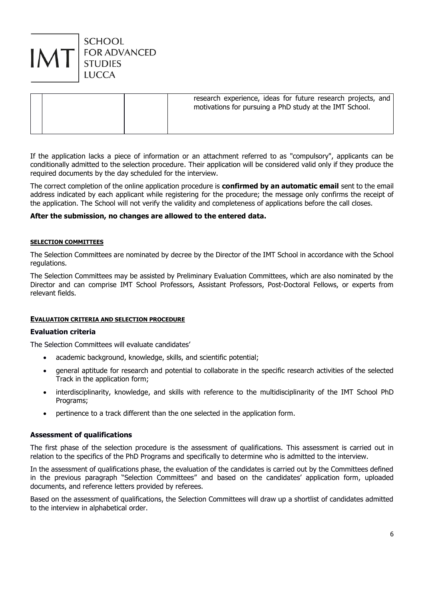

|  | research experience, ideas for future research projects, and<br>motivations for pursuing a PhD study at the IMT School. |
|--|-------------------------------------------------------------------------------------------------------------------------|
|  |                                                                                                                         |

If the application lacks a piece of information or an attachment referred to as "compulsory", applicants can be conditionally admitted to the selection procedure. Their application will be considered valid only if they produce the required documents by the day scheduled for the interview.

The correct completion of the online application procedure is **confirmed by an automatic email** sent to the email address indicated by each applicant while registering for the procedure; the message only confirms the receipt of the application. The School will not verify the validity and completeness of applications before the call closes.

### **After the submission, no changes are allowed to the entered data.**

#### **SELECTION COMMITTEES**

The Selection Committees are nominated by decree by the Director of the IMT School in accordance with the School regulations.

The Selection Committees may be assisted by Preliminary Evaluation Committees, which are also nominated by the Director and can comprise IMT School Professors, Assistant Professors, Post-Doctoral Fellows, or experts from relevant fields.

#### **EVALUATION CRITERIA AND SELECTION PROCEDURE**

### **Evaluation criteria**

The Selection Committees will evaluate candidates'

- academic background, knowledge, skills, and scientific potential;
- general aptitude for research and potential to collaborate in the specific research activities of the selected Track in the application form;
- interdisciplinarity, knowledge, and skills with reference to the multidisciplinarity of the IMT School PhD Programs;
- pertinence to a track different than the one selected in the application form.

#### **Assessment of qualifications**

The first phase of the selection procedure is the assessment of qualifications. This assessment is carried out in relation to the specifics of the PhD Programs and specifically to determine who is admitted to the interview.

In the assessment of qualifications phase, the evaluation of the candidates is carried out by the Committees defined in the previous paragraph "Selection Committees" and based on the candidates' application form, uploaded documents, and reference letters provided by referees.

Based on the assessment of qualifications, the Selection Committees will draw up a shortlist of candidates admitted to the interview in alphabetical order.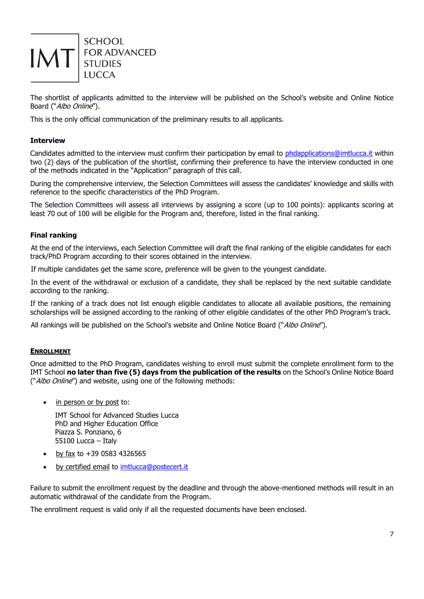

The shortlist of applicants admitted to the interview will be published on the School's website and Online Notice Board ("Albo Online").

This is the only official communication of the preliminary results to all applicants.

# **Interview**

Candidates admitted to the interview must confirm their participation by email to phdapplications@imtlucca.it within two (2) days of the publication of the shortlist, confirming their preference to have the interview conducted in one of the methods indicated in the "Application" paragraph of this call.

During the comprehensive interview, the Selection Committees will assess the candidates' knowledge and skills with reference to the specific characteristics of the PhD Program.

The Selection Committees will assess all interviews by assigning a score (up to 100 points): applicants scoring at least 70 out of 100 will be eligible for the Program and, therefore, listed in the final ranking.

# **Final ranking**

At the end of the interviews, each Selection Committee will draft the final ranking of the eligible candidates for each track/PhD Program according to their scores obtained in the interview.

If multiple candidates get the same score, preference will be given to the youngest candidate.

In the event of the withdrawal or exclusion of a candidate, they shall be replaced by the next suitable candidate according to the ranking.

If the ranking of a track does not list enough eligible candidates to allocate all available positions, the remaining scholarships will be assigned according to the ranking of other eligible candidates of the other PhD Program's track.

All rankings will be published on the School's website and Online Notice Board ("Albo Online").

# **ENROLLMENT**

Once admitted to the PhD Program, candidates wishing to enroll must submit the complete enrollment form to the IMT School **no later than five (5) days from the publication of the results** on the School's Online Notice Board ("Albo Online") and website, using one of the following methods:

• in person or by post to:

IMT School for Advanced Studies Lucca PhD and Higher Education Office Piazza S. Ponziano, 6 55100 Lucca – Italy

- by fax to +39 0583 4326565
- by certified email to imtlucca@postecert.it

Failure to submit the enrollment request by the deadline and through the above-mentioned methods will result in an automatic withdrawal of the candidate from the Program.

The enrollment request is valid only if all the requested documents have been enclosed.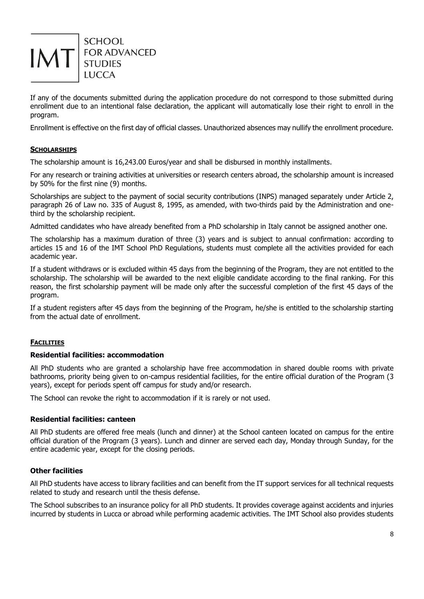

If any of the documents submitted during the application procedure do not correspond to those submitted during enrollment due to an intentional false declaration, the applicant will automatically lose their right to enroll in the program.

Enrollment is effective on the first day of official classes. Unauthorized absences may nullify the enrollment procedure.

# **SCHOLARSHIPS**

The scholarship amount is 16,243.00 Euros/year and shall be disbursed in monthly installments.

For any research or training activities at universities or research centers abroad, the scholarship amount is increased by 50% for the first nine (9) months.

Scholarships are subject to the payment of social security contributions (INPS) managed separately under Article 2, paragraph 26 of Law no. 335 of August 8, 1995, as amended, with two-thirds paid by the Administration and onethird by the scholarship recipient.

Admitted candidates who have already benefited from a PhD scholarship in Italy cannot be assigned another one.

The scholarship has a maximum duration of three (3) years and is subject to annual confirmation: according to articles 15 and 16 of the IMT School PhD Regulations, students must complete all the activities provided for each academic year.

If a student withdraws or is excluded within 45 days from the beginning of the Program, they are not entitled to the scholarship. The scholarship will be awarded to the next eligible candidate according to the final ranking. For this reason, the first scholarship payment will be made only after the successful completion of the first 45 days of the program.

If a student registers after 45 days from the beginning of the Program, he/she is entitled to the scholarship starting from the actual date of enrollment.

# **FACILITIES**

# **Residential facilities: accommodation**

All PhD students who are granted a scholarship have free accommodation in shared double rooms with private bathrooms, priority being given to on-campus residential facilities, for the entire official duration of the Program (3 years), except for periods spent off campus for study and/or research.

The School can revoke the right to accommodation if it is rarely or not used.

# **Residential facilities: canteen**

All PhD students are offered free meals (lunch and dinner) at the School canteen located on campus for the entire official duration of the Program (3 years). Lunch and dinner are served each day, Monday through Sunday, for the entire academic year, except for the closing periods.

# **Other facilities**

All PhD students have access to library facilities and can benefit from the IT support services for all technical requests related to study and research until the thesis defense.

The School subscribes to an insurance policy for all PhD students. It provides coverage against accidents and injuries incurred by students in Lucca or abroad while performing academic activities. The IMT School also provides students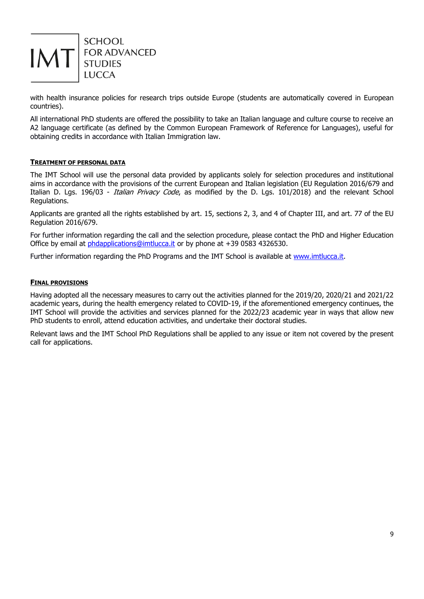

with health insurance policies for research trips outside Europe (students are automatically covered in European countries).

All international PhD students are offered the possibility to take an Italian language and culture course to receive an A2 language certificate (as defined by the Common European Framework of Reference for Languages), useful for obtaining credits in accordance with Italian Immigration law.

# **TREATMENT OF PERSONAL DATA**

The IMT School will use the personal data provided by applicants solely for selection procedures and institutional aims in accordance with the provisions of the current European and Italian legislation (EU Regulation 2016/679 and Italian D. Lgs. 196/03 - *Italian Privacy Code*, as modified by the D. Lgs. 101/2018) and the relevant School Regulations.

Applicants are granted all the rights established by art. 15, sections 2, 3, and 4 of Chapter III, and art. 77 of the EU Regulation 2016/679.

For further information regarding the call and the selection procedure, please contact the PhD and Higher Education Office by email at [phdapplications@imtlucca.it](mailto:phdapplications@imtlucca.it) or by phone at +39 0583 4326530.

Further information regarding the PhD Programs and the IMT School is available at [www.imtlucca.it.](http://www.imtlucca.it/)

#### **FINAL PROVISIONS**

Having adopted all the necessary measures to carry out the activities planned for the 2019/20, 2020/21 and 2021/22 academic years, during the health emergency related to COVID-19, if the aforementioned emergency continues, the IMT School will provide the activities and services planned for the 2022/23 academic year in ways that allow new PhD students to enroll, attend education activities, and undertake their doctoral studies.

Relevant laws and the IMT School PhD Regulations shall be applied to any issue or item not covered by the present call for applications.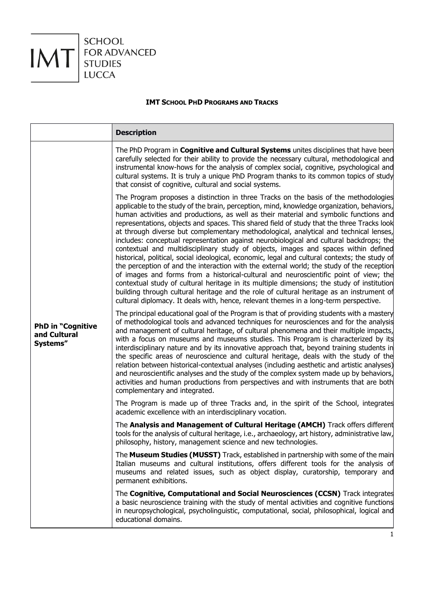

# **IMT SCHOOL PHD PROGRAMS AND TRACKS**

|                                                      | <b>Description</b>                                                                                                                                                                                                                                                                                                                                                                                                                                                                                                                                                                                                                                                                                                                                                                                                                                                                                                                                                                                                                                                                                                                                                                                                               |
|------------------------------------------------------|----------------------------------------------------------------------------------------------------------------------------------------------------------------------------------------------------------------------------------------------------------------------------------------------------------------------------------------------------------------------------------------------------------------------------------------------------------------------------------------------------------------------------------------------------------------------------------------------------------------------------------------------------------------------------------------------------------------------------------------------------------------------------------------------------------------------------------------------------------------------------------------------------------------------------------------------------------------------------------------------------------------------------------------------------------------------------------------------------------------------------------------------------------------------------------------------------------------------------------|
|                                                      | The PhD Program in <b>Cognitive and Cultural Systems</b> unites disciplines that have been<br>carefully selected for their ability to provide the necessary cultural, methodological and<br>instrumental know-hows for the analysis of complex social, cognitive, psychological and<br>cultural systems. It is truly a unique PhD Program thanks to its common topics of study<br>that consist of cognitive, cultural and social systems.                                                                                                                                                                                                                                                                                                                                                                                                                                                                                                                                                                                                                                                                                                                                                                                        |
|                                                      | The Program proposes a distinction in three Tracks on the basis of the methodologies<br>applicable to the study of the brain, perception, mind, knowledge organization, behaviors,<br>human activities and productions, as well as their material and symbolic functions and<br>representations, objects and spaces. This shared field of study that the three Tracks look<br>at through diverse but complementary methodological, analytical and technical lenses,<br>includes: conceptual representation against neurobiological and cultural backdrops; the<br>contextual and multidisciplinary study of objects, images and spaces within defined<br>historical, political, social ideological, economic, legal and cultural contexts; the study of<br>the perception of and the interaction with the external world; the study of the reception<br>of images and forms from a historical-cultural and neuroscientific point of view; the<br>contextual study of cultural heritage in its multiple dimensions; the study of institution<br>building through cultural heritage and the role of cultural heritage as an instrument of<br>cultural diplomacy. It deals with, hence, relevant themes in a long-term perspective. |
| <b>PhD in "Cognitive</b><br>and Cultural<br>Systems" | The principal educational goal of the Program is that of providing students with a mastery<br>of methodological tools and advanced techniques for neurosciences and for the analysis<br>and management of cultural heritage, of cultural phenomena and their multiple impacts,<br>with a focus on museums and museums studies. This Program is characterized by its<br>interdisciplinary nature and by its innovative approach that, beyond training students in<br>the specific areas of neuroscience and cultural heritage, deals with the study of the<br>relation between historical-contextual analyses (including aesthetic and artistic analyses)<br>and neuroscientific analyses and the study of the complex system made up by behaviors,<br>activities and human productions from perspectives and with instruments that are both<br>complementary and integrated.                                                                                                                                                                                                                                                                                                                                                     |
|                                                      | The Program is made up of three Tracks and, in the spirit of the School, integrates<br>academic excellence with an interdisciplinary vocation.                                                                                                                                                                                                                                                                                                                                                                                                                                                                                                                                                                                                                                                                                                                                                                                                                                                                                                                                                                                                                                                                                   |
|                                                      | The Analysis and Management of Cultural Heritage (AMCH) Track offers different<br>tools for the analysis of cultural heritage, i.e., archaeology, art history, administrative law,<br>philosophy, history, management science and new technologies.                                                                                                                                                                                                                                                                                                                                                                                                                                                                                                                                                                                                                                                                                                                                                                                                                                                                                                                                                                              |
|                                                      | The Museum Studies (MUSST) Track, established in partnership with some of the main<br>Italian museums and cultural institutions, offers different tools for the analysis of<br>museums and related issues, such as object display, curatorship, temporary and<br>permanent exhibitions.                                                                                                                                                                                                                                                                                                                                                                                                                                                                                                                                                                                                                                                                                                                                                                                                                                                                                                                                          |
|                                                      | The Cognitive, Computational and Social Neurosciences (CCSN) Track integrates<br>a basic neuroscience training with the study of mental activities and cognitive functions<br>in neuropsychological, psycholinguistic, computational, social, philosophical, logical and<br>educational domains.                                                                                                                                                                                                                                                                                                                                                                                                                                                                                                                                                                                                                                                                                                                                                                                                                                                                                                                                 |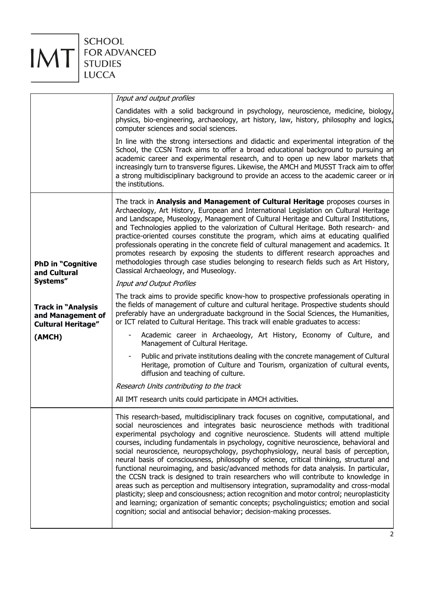

|                                                                             | Input and output profiles                                                                                                                                                                                                                                                                                                                                                                                                                                                                                                                                                                                                                                                                                                                                                                                                                                                                                                                                                                                                                                                         |
|-----------------------------------------------------------------------------|-----------------------------------------------------------------------------------------------------------------------------------------------------------------------------------------------------------------------------------------------------------------------------------------------------------------------------------------------------------------------------------------------------------------------------------------------------------------------------------------------------------------------------------------------------------------------------------------------------------------------------------------------------------------------------------------------------------------------------------------------------------------------------------------------------------------------------------------------------------------------------------------------------------------------------------------------------------------------------------------------------------------------------------------------------------------------------------|
|                                                                             | Candidates with a solid background in psychology, neuroscience, medicine, biology,<br>physics, bio-engineering, archaeology, art history, law, history, philosophy and logics,<br>computer sciences and social sciences.                                                                                                                                                                                                                                                                                                                                                                                                                                                                                                                                                                                                                                                                                                                                                                                                                                                          |
|                                                                             | In line with the strong intersections and didactic and experimental integration of the<br>School, the CCSN Track aims to offer a broad educational background to pursuing an<br>academic career and experimental research, and to open up new labor markets that<br>increasingly turn to transverse figures. Likewise, the AMCH and MUSST Track aim to offer<br>a strong multidisciplinary background to provide an access to the academic career or in<br>the institutions.                                                                                                                                                                                                                                                                                                                                                                                                                                                                                                                                                                                                      |
| <b>PhD in "Cognitive</b><br>and Cultural                                    | The track in Analysis and Management of Cultural Heritage proposes courses in<br>Archaeology, Art History, European and International Legislation on Cultural Heritage<br>and Landscape, Museology, Management of Cultural Heritage and Cultural Institutions,<br>and Technologies applied to the valorization of Cultural Heritage. Both research- and<br>practice-oriented courses constitute the program, which aims at educating qualified<br>professionals operating in the concrete field of cultural management and academics. It<br>promotes research by exposing the students to different research approaches and<br>methodologies through case studies belonging to research fields such as Art History,<br>Classical Archaeology, and Museology.                                                                                                                                                                                                                                                                                                                      |
| Systems"                                                                    | Input and Output Profiles                                                                                                                                                                                                                                                                                                                                                                                                                                                                                                                                                                                                                                                                                                                                                                                                                                                                                                                                                                                                                                                         |
| <b>Track in "Analysis</b><br>and Management of<br><b>Cultural Heritage"</b> | The track aims to provide specific know-how to prospective professionals operating in<br>the fields of management of culture and cultural heritage. Prospective students should<br>preferably have an undergraduate background in the Social Sciences, the Humanities,<br>or ICT related to Cultural Heritage. This track will enable graduates to access:                                                                                                                                                                                                                                                                                                                                                                                                                                                                                                                                                                                                                                                                                                                        |
| (AMCH)                                                                      | Academic career in Archaeology, Art History, Economy of Culture, and<br>Management of Cultural Heritage.                                                                                                                                                                                                                                                                                                                                                                                                                                                                                                                                                                                                                                                                                                                                                                                                                                                                                                                                                                          |
|                                                                             | Public and private institutions dealing with the concrete management of Cultural<br>Heritage, promotion of Culture and Tourism, organization of cultural events,<br>diffusion and teaching of culture.                                                                                                                                                                                                                                                                                                                                                                                                                                                                                                                                                                                                                                                                                                                                                                                                                                                                            |
|                                                                             | Research Units contributing to the track                                                                                                                                                                                                                                                                                                                                                                                                                                                                                                                                                                                                                                                                                                                                                                                                                                                                                                                                                                                                                                          |
|                                                                             | All IMT research units could participate in AMCH activities.                                                                                                                                                                                                                                                                                                                                                                                                                                                                                                                                                                                                                                                                                                                                                                                                                                                                                                                                                                                                                      |
|                                                                             | This research-based, multidisciplinary track focuses on cognitive, computational, and<br>social neurosciences and integrates basic neuroscience methods with traditional<br>experimental psychology and cognitive neuroscience. Students will attend multiple<br>courses, including fundamentals in psychology, cognitive neuroscience, behavioral and<br>social neuroscience, neuropsychology, psychophysiology, neural basis of perception,<br>neural basis of consciousness, philosophy of science, critical thinking, structural and<br>functional neuroimaging, and basic/advanced methods for data analysis. In particular,<br>the CCSN track is designed to train researchers who will contribute to knowledge in<br>areas such as perception and multisensory integration, supramodality and cross-modal<br>plasticity; sleep and consciousness; action recognition and motor control; neuroplasticity<br>and learning; organization of semantic concepts; psycholinguistics; emotion and social<br>cognition; social and antisocial behavior; decision-making processes. |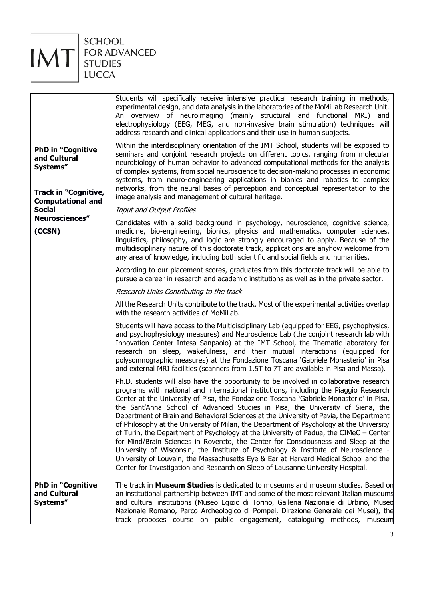

| <b>PhD in "Cognitive</b><br>and Cultural<br>Systems"                                | The track in <b>Museum Studies</b> is dedicated to museums and museum studies. Based on<br>an institutional partnership between IMT and some of the most relevant Italian museums<br>and cultural institutions (Museo Egizio di Torino, Galleria Nazionale di Urbino, Mused<br>Nazionale Romano, Parco Archeologico di Pompei, Direzione Generale dei Musei), the<br>track proposes course on public engagement, cataloguing methods, museum                                                                                                                                                                                                                                                                                                                                                                                                                                                                                                                                                       |
|-------------------------------------------------------------------------------------|----------------------------------------------------------------------------------------------------------------------------------------------------------------------------------------------------------------------------------------------------------------------------------------------------------------------------------------------------------------------------------------------------------------------------------------------------------------------------------------------------------------------------------------------------------------------------------------------------------------------------------------------------------------------------------------------------------------------------------------------------------------------------------------------------------------------------------------------------------------------------------------------------------------------------------------------------------------------------------------------------|
|                                                                                     | Ph.D. students will also have the opportunity to be involved in collaborative research<br>programs with national and international institutions, including the Piaggio Research<br>Center at the University of Pisa, the Fondazione Toscana 'Gabriele Monasterio' in Pisa,<br>the Sant'Anna School of Advanced Studies in Pisa, the University of Siena, the<br>Department of Brain and Behavioral Sciences at the University of Pavia, the Department<br>of Philosophy at the University of Milan, the Department of Psychology at the University<br>of Turin, the Department of Psychology at the University of Padua, the CIMeC - Center<br>for Mind/Brain Sciences in Rovereto, the Center for Consciousness and Sleep at the<br>University of Wisconsin, the Institute of Psychology & Institute of Neuroscience -<br>University of Louvain, the Massachusetts Eye & Ear at Harvard Medical School and the<br>Center for Investigation and Research on Sleep of Lausanne University Hospital. |
|                                                                                     | Students will have access to the Multidisciplinary Lab (equipped for EEG, psychophysics,<br>and psychophysiology measures) and Neuroscience Lab (the conjoint research lab with<br>Innovation Center Intesa Sanpaolo) at the IMT School, the Thematic laboratory for<br>research on sleep, wakefulness, and their mutual interactions (equipped for<br>polysomnographic measures) at the Fondazione Toscana 'Gabriele Monasterio' in Pisa<br>and external MRI facilities (scanners from 1.5T to 7T are available in Pisa and Massa).                                                                                                                                                                                                                                                                                                                                                                                                                                                               |
|                                                                                     | Research Units Contributing to the track<br>All the Research Units contribute to the track. Most of the experimental activities overlap<br>with the research activities of MoMiLab.                                                                                                                                                                                                                                                                                                                                                                                                                                                                                                                                                                                                                                                                                                                                                                                                                |
|                                                                                     | According to our placement scores, graduates from this doctorate track will be able to<br>pursue a career in research and academic institutions as well as in the private sector.                                                                                                                                                                                                                                                                                                                                                                                                                                                                                                                                                                                                                                                                                                                                                                                                                  |
| Neurosciences"<br>(CCSN)                                                            | Candidates with a solid background in psychology, neuroscience, cognitive science,<br>medicine, bio-engineering, bionics, physics and mathematics, computer sciences,<br>linguistics, philosophy, and logic are strongly encouraged to apply. Because of the<br>multidisciplinary nature of this doctorate track, applications are anyhow welcome from<br>any area of knowledge, including both scientific and social fields and humanities.                                                                                                                                                                                                                                                                                                                                                                                                                                                                                                                                                       |
| <b>Computational and</b><br><b>Social</b>                                           | Input and Output Profiles                                                                                                                                                                                                                                                                                                                                                                                                                                                                                                                                                                                                                                                                                                                                                                                                                                                                                                                                                                          |
| <b>PhD in "Cognitive</b><br>and Cultural<br>Systems"<br><b>Track in "Cognitive,</b> | Within the interdisciplinary orientation of the IMT School, students will be exposed to<br>seminars and conjoint research projects on different topics, ranging from molecular<br>neurobiology of human behavior to advanced computational methods for the analysis<br>of complex systems, from social neuroscience to decision-making processes in economic<br>systems, from neuro-engineering applications in bionics and robotics to complex<br>networks, from the neural bases of perception and conceptual representation to the<br>image analysis and management of cultural heritage.                                                                                                                                                                                                                                                                                                                                                                                                       |
|                                                                                     | Students will specifically receive intensive practical research training in methods,<br>experimental design, and data analysis in the laboratories of the MoMiLab Research Unit.<br>An overview of neuroimaging (mainly structural and functional MRI) and<br>electrophysiology (EEG, MEG, and non-invasive brain stimulation) techniques will<br>address research and clinical applications and their use in human subjects.                                                                                                                                                                                                                                                                                                                                                                                                                                                                                                                                                                      |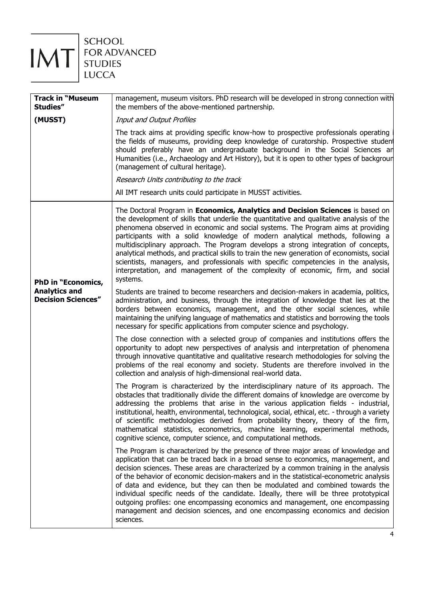

FOR ADVANCED<br>STUDIES

| <b>Track in "Museum</b><br>Studies"               | management, museum visitors. PhD research will be developed in strong connection with<br>the members of the above-mentioned partnership.                                                                                                                                                                                                                                                                                                                                                                                                                                                                                                                                                                                 |
|---------------------------------------------------|--------------------------------------------------------------------------------------------------------------------------------------------------------------------------------------------------------------------------------------------------------------------------------------------------------------------------------------------------------------------------------------------------------------------------------------------------------------------------------------------------------------------------------------------------------------------------------------------------------------------------------------------------------------------------------------------------------------------------|
| (MUSST)                                           | Input and Output Profiles                                                                                                                                                                                                                                                                                                                                                                                                                                                                                                                                                                                                                                                                                                |
|                                                   | The track aims at providing specific know-how to prospective professionals operating<br>the fields of museums, providing deep knowledge of curatorship. Prospective student<br>should preferably have an undergraduate background in the Social Sciences an<br>Humanities (i.e., Archaeology and Art History), but it is open to other types of backgrour<br>(management of cultural heritage).                                                                                                                                                                                                                                                                                                                          |
|                                                   | Research Units contributing to the track                                                                                                                                                                                                                                                                                                                                                                                                                                                                                                                                                                                                                                                                                 |
|                                                   | All IMT research units could participate in MUSST activities.                                                                                                                                                                                                                                                                                                                                                                                                                                                                                                                                                                                                                                                            |
| <b>PhD in "Economics,</b>                         | The Doctoral Program in Economics, Analytics and Decision Sciences is based on<br>the development of skills that underlie the quantitative and qualitative analysis of the<br>phenomena observed in economic and social systems. The Program aims at providing<br>participants with a solid knowledge of modern analytical methods, following a<br>multidisciplinary approach. The Program develops a strong integration of concepts,<br>analytical methods, and practical skills to train the new generation of economists, social<br>scientists, managers, and professionals with specific competencies in the analysis,<br>interpretation, and management of the complexity of economic, firm, and social<br>systems. |
| <b>Analytics and</b><br><b>Decision Sciences"</b> | Students are trained to become researchers and decision-makers in academia, politics,<br>administration, and business, through the integration of knowledge that lies at the<br>borders between economics, management, and the other social sciences, while<br>maintaining the unifying language of mathematics and statistics and borrowing the tools<br>necessary for specific applications from computer science and psychology.                                                                                                                                                                                                                                                                                      |
|                                                   | The close connection with a selected group of companies and institutions offers the<br>opportunity to adopt new perspectives of analysis and interpretation of phenomena<br>through innovative quantitative and qualitative research methodologies for solving the<br>problems of the real economy and society. Students are therefore involved in the<br>collection and analysis of high-dimensional real-world data.                                                                                                                                                                                                                                                                                                   |
|                                                   | The Program is characterized by the interdisciplinary nature of its approach. The<br>obstacles that traditionally divide the different domains of knowledge are overcome by<br>addressing the problems that arise in the various application fields - industrial,<br>institutional, health, environmental, technological, social, ethical, etc. - through a variety<br>of scientific methodologies derived from probability theory, theory of the firm,<br>mathematical statistics, econometrics, machine learning, experimental methods,<br>cognitive science, computer science, and computational methods.                                                                                                             |
|                                                   | The Program is characterized by the presence of three major areas of knowledge and<br>application that can be traced back in a broad sense to economics, management, and<br>decision sciences. These areas are characterized by a common training in the analysis<br>of the behavior of economic decision-makers and in the statistical-econometric analysis<br>of data and evidence, but they can then be modulated and combined towards the<br>individual specific needs of the candidate. Ideally, there will be three prototypical<br>outgoing profiles: one encompassing economics and management, one encompassing<br>management and decision sciences, and one encompassing economics and decision<br>sciences.   |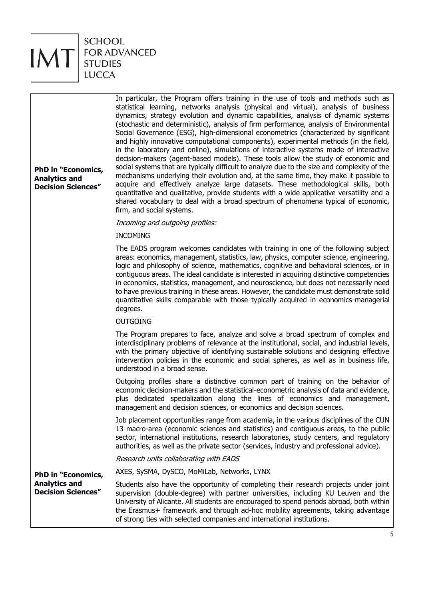

| In particular, the Program offers training in the use of tools and methods such as<br>statistical learning, networks analysis (physical and virtual), analysis of business<br>dynamics, strategy evolution and dynamic capabilities, analysis of dynamic systems<br>(stochastic and deterministic), analysis of firm performance, analysis of Environmental<br>Social Governance (ESG), high-dimensional econometrics (characterized by significant<br>and highly innovative computational components), experimental methods (in the field,<br>in the laboratory and online), simulations of interactive systems made of interactive<br>decision-makers (agent-based models). These tools allow the study of economic and<br>social systems that are typically difficult to analyze due to the size and complexity of the<br>mechanisms underlying their evolution and, at the same time, they make it possible to<br>acquire and effectively analyze large datasets. These methodological skills, both<br>quantitative and qualitative, provide students with a wide applicative versatility and a<br>shared vocabulary to deal with a broad spectrum of phenomena typical of economic,<br>firm, and social systems. |
|-----------------------------------------------------------------------------------------------------------------------------------------------------------------------------------------------------------------------------------------------------------------------------------------------------------------------------------------------------------------------------------------------------------------------------------------------------------------------------------------------------------------------------------------------------------------------------------------------------------------------------------------------------------------------------------------------------------------------------------------------------------------------------------------------------------------------------------------------------------------------------------------------------------------------------------------------------------------------------------------------------------------------------------------------------------------------------------------------------------------------------------------------------------------------------------------------------------------------|
| Incoming and outgoing profiles:                                                                                                                                                                                                                                                                                                                                                                                                                                                                                                                                                                                                                                                                                                                                                                                                                                                                                                                                                                                                                                                                                                                                                                                       |
| <b>INCOMING</b>                                                                                                                                                                                                                                                                                                                                                                                                                                                                                                                                                                                                                                                                                                                                                                                                                                                                                                                                                                                                                                                                                                                                                                                                       |
| The EADS program welcomes candidates with training in one of the following subject<br>areas: economics, management, statistics, law, physics, computer science, engineering,<br>logic and philosophy of science, mathematics, cognitive and behavioral sciences, or in<br>contiguous areas. The ideal candidate is interested in acquiring distinctive competencies<br>in economics, statistics, management, and neuroscience, but does not necessarily need<br>to have previous training in these areas. However, the candidate must demonstrate solid<br>quantitative skills comparable with those typically acquired in economics-managerial<br>degrees.                                                                                                                                                                                                                                                                                                                                                                                                                                                                                                                                                           |
| <b>OUTGOING</b>                                                                                                                                                                                                                                                                                                                                                                                                                                                                                                                                                                                                                                                                                                                                                                                                                                                                                                                                                                                                                                                                                                                                                                                                       |
| The Program prepares to face, analyze and solve a broad spectrum of complex and<br>interdisciplinary problems of relevance at the institutional, social, and industrial levels,<br>with the primary objective of identifying sustainable solutions and designing effective<br>intervention policies in the economic and social spheres, as well as in business life,<br>understood in a broad sense.                                                                                                                                                                                                                                                                                                                                                                                                                                                                                                                                                                                                                                                                                                                                                                                                                  |
| Outgoing profiles share a distinctive common part of training on the behavior of<br>economic decision-makers and the statistical-econometric analysis of data and evidence,<br>plus dedicated specialization along the lines of economics and management,<br>management and decision sciences, or economics and decision sciences.                                                                                                                                                                                                                                                                                                                                                                                                                                                                                                                                                                                                                                                                                                                                                                                                                                                                                    |
| Job placement opportunities range from academia, in the various disciplines of the CUN<br>13 macro-area (economic sciences and statistics) and contiguous areas, to the public<br>sector, international institutions, research laboratories, study centers, and regulatory<br>authorities, as well as the private sector (services, industry and professional advice).                                                                                                                                                                                                                                                                                                                                                                                                                                                                                                                                                                                                                                                                                                                                                                                                                                                |
| Research units collaborating with EADS                                                                                                                                                                                                                                                                                                                                                                                                                                                                                                                                                                                                                                                                                                                                                                                                                                                                                                                                                                                                                                                                                                                                                                                |
| AXES, SySMA, DySCO, MoMiLab, Networks, LYNX                                                                                                                                                                                                                                                                                                                                                                                                                                                                                                                                                                                                                                                                                                                                                                                                                                                                                                                                                                                                                                                                                                                                                                           |
| Students also have the opportunity of completing their research projects under joint<br>supervision (double-degree) with partner universities, including KU Leuven and the<br>University of Alicante. All students are encouraged to spend periods abroad, both within<br>the Erasmus+ framework and through ad-hoc mobility agreements, taking advantage<br>of strong ties with selected companies and international institutions.                                                                                                                                                                                                                                                                                                                                                                                                                                                                                                                                                                                                                                                                                                                                                                                   |
|                                                                                                                                                                                                                                                                                                                                                                                                                                                                                                                                                                                                                                                                                                                                                                                                                                                                                                                                                                                                                                                                                                                                                                                                                       |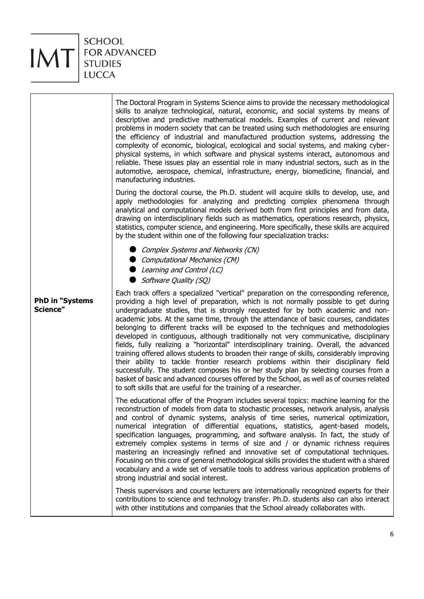

|                                    | The Doctoral Program in Systems Science aims to provide the necessary methodological<br>skills to analyze technological, natural, economic, and social systems by means of<br>descriptive and predictive mathematical models. Examples of current and relevant<br>problems in modern society that can be treated using such methodologies are ensuring<br>the efficiency of industrial and manufactured production systems, addressing the<br>complexity of economic, biological, ecological and social systems, and making cyber-<br>physical systems, in which software and physical systems interact, autonomous and<br>reliable. These issues play an essential role in many industrial sectors, such as in the<br>automotive, aerospace, chemical, infrastructure, energy, biomedicine, financial, and<br>manufacturing industries.                                                                                                                                                                                                                                      |
|------------------------------------|-------------------------------------------------------------------------------------------------------------------------------------------------------------------------------------------------------------------------------------------------------------------------------------------------------------------------------------------------------------------------------------------------------------------------------------------------------------------------------------------------------------------------------------------------------------------------------------------------------------------------------------------------------------------------------------------------------------------------------------------------------------------------------------------------------------------------------------------------------------------------------------------------------------------------------------------------------------------------------------------------------------------------------------------------------------------------------|
|                                    | During the doctoral course, the Ph.D. student will acquire skills to develop, use, and<br>apply methodologies for analyzing and predicting complex phenomena through<br>analytical and computational models derived both from first principles and from data,<br>drawing on interdisciplinary fields such as mathematics, operations research, physics,<br>statistics, computer science, and engineering. More specifically, these skills are acquired<br>by the student within one of the following four specialization tracks:                                                                                                                                                                                                                                                                                                                                                                                                                                                                                                                                              |
|                                    | Complex Systems and Networks (CN)<br>Computational Mechanics (CM)<br>Learning and Control (LC)<br>Software Quality (SQ)                                                                                                                                                                                                                                                                                                                                                                                                                                                                                                                                                                                                                                                                                                                                                                                                                                                                                                                                                       |
| <b>PhD in "Systems</b><br>Science" | Each track offers a specialized "vertical" preparation on the corresponding reference,<br>providing a high level of preparation, which is not normally possible to get during<br>undergraduate studies, that is strongly requested for by both academic and non-<br>academic jobs. At the same time, through the attendance of basic courses, candidates<br>belonging to different tracks will be exposed to the techniques and methodologies<br>developed in contiguous, although traditionally not very communicative, disciplinary<br>fields, fully realizing a "horizontal" interdisciplinary training. Overall, the advanced<br>training offered allows students to broaden their range of skills, considerably improving<br>their ability to tackle frontier research problems within their disciplinary field<br>successfully. The student composes his or her study plan by selecting courses from a<br>basket of basic and advanced courses offered by the School, as well as of courses related<br>to soft skills that are useful for the training of a researcher. |
|                                    | The educational offer of the Program includes several topics: machine learning for the<br>reconstruction of models from data to stochastic processes, network analysis, analysis<br>and control of dynamic systems, analysis of time series, numerical optimization,<br>numerical integration of differential equations, statistics, agent-based models,<br>specification languages, programming, and software analysis. In fact, the study of<br>extremely complex systems in terms of size and / or dynamic richness requires<br>mastering an increasingly refined and innovative set of computational techniques.<br>Focusing on this core of general methodological skills provides the student with a shared<br>vocabulary and a wide set of versatile tools to address various application problems of<br>strong industrial and social interest.                                                                                                                                                                                                                        |
|                                    | Thesis supervisors and course lecturers are internationally recognized experts for their<br>contributions to science and technology transfer. Ph.D. students also can also interact<br>with other institutions and companies that the School already collaborates with.                                                                                                                                                                                                                                                                                                                                                                                                                                                                                                                                                                                                                                                                                                                                                                                                       |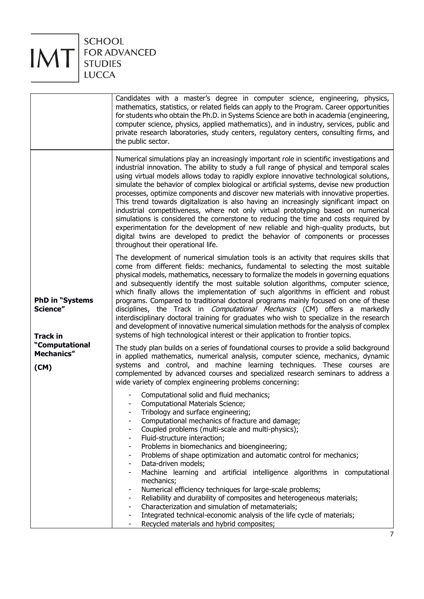

|                                                                                                     | Candidates with a master's degree in computer science, engineering, physics,<br>mathematics, statistics, or related fields can apply to the Program. Career opportunities<br>for students who obtain the Ph.D. in Systems Science are both in academia (engineering,<br>computer science, physics, applied mathematics), and in industry, services, public and<br>private research laboratories, study centers, regulatory centers, consulting firms, and<br>the public sector.                                                                                                                                                                                                                                                                                                                                                                                                                                                                                                                                                                                                                                                                                                                                                                                                                              |
|-----------------------------------------------------------------------------------------------------|--------------------------------------------------------------------------------------------------------------------------------------------------------------------------------------------------------------------------------------------------------------------------------------------------------------------------------------------------------------------------------------------------------------------------------------------------------------------------------------------------------------------------------------------------------------------------------------------------------------------------------------------------------------------------------------------------------------------------------------------------------------------------------------------------------------------------------------------------------------------------------------------------------------------------------------------------------------------------------------------------------------------------------------------------------------------------------------------------------------------------------------------------------------------------------------------------------------------------------------------------------------------------------------------------------------|
| <b>PhD in "Systems</b><br>Science"<br><b>Track in</b><br>"Computational<br><b>Mechanics"</b><br>(M) | Numerical simulations play an increasingly important role in scientific investigations and<br>industrial innovation. The ability to study a full range of physical and temporal scales<br>using virtual models allows today to rapidly explore innovative technological solutions,<br>simulate the behavior of complex biological or artificial systems, devise new production<br>processes, optimize components and discover new materials with innovative properties.<br>This trend towards digitalization is also having an increasingly significant impact on<br>industrial competitiveness, where not only virtual prototyping based on numerical<br>simulations is considered the cornerstone to reducing the time and costs required by<br>experimentation for the development of new reliable and high-quality products, but<br>digital twins are developed to predict the behavior of components or processes<br>throughout their operational life.                                                                                                                                                                                                                                                                                                                                                 |
|                                                                                                     | The development of numerical simulation tools is an activity that requires skills that<br>come from different fields: mechanics, fundamental to selecting the most suitable<br>physical models, mathematics, necessary to formalize the models in governing equations<br>and subsequently identify the most suitable solution algorithms, computer science,<br>which finally allows the implementation of such algorithms in efficient and robust<br>programs. Compared to traditional doctoral programs mainly focused on one of these<br>disciplines, the Track in <i>Computational Mechanics</i> (CM) offers a markedly<br>interdisciplinary doctoral training for graduates who wish to specialize in the research<br>and development of innovative numerical simulation methods for the analysis of complex<br>systems of high technological interest or their application to frontier topics.<br>The study plan builds on a series of foundational courses to provide a solid background<br>in applied mathematics, numerical analysis, computer science, mechanics, dynamic<br>systems and control, and machine learning techniques. These courses are<br>complemented by advanced courses and specialized research seminars to address a<br>wide variety of complex engineering problems concerning: |
|                                                                                                     | Computational solid and fluid mechanics;<br>Computational Materials Science;<br>Tribology and surface engineering;<br>Computational mechanics of fracture and damage;<br>Coupled problems (multi-scale and multi-physics);<br>Fluid-structure interaction;<br>Problems in biomechanics and bioengineering;<br>Problems of shape optimization and automatic control for mechanics;<br>Data-driven models;<br>Machine learning and artificial intelligence algorithms in computational<br>mechanics;<br>Numerical efficiency techniques for large-scale problems;<br>Reliability and durability of composites and heterogeneous materials;<br>Characterization and simulation of metamaterials;<br>Integrated technical-economic analysis of the life cycle of materials;<br>Recycled materials and hybrid composites;                                                                                                                                                                                                                                                                                                                                                                                                                                                                                         |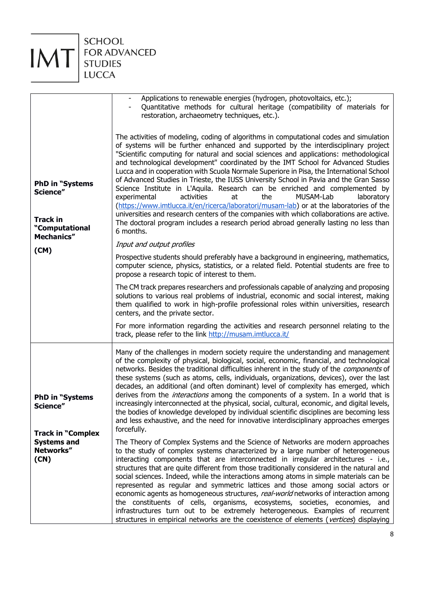SCHOOL FOR ADVANCED<br>STUDIES LUCCA

IMT

| <b>PhD in "Systems</b><br>Science"<br><b>Track in</b><br>"Computational<br>Mechanics"<br>(M) | Applications to renewable energies (hydrogen, photovoltaics, etc.);<br>Quantitative methods for cultural heritage (compatibility of materials for<br>restoration, archaeometry techniques, etc.).<br>The activities of modeling, coding of algorithms in computational codes and simulation<br>of systems will be further enhanced and supported by the interdisciplinary project<br>"Scientific computing for natural and social sciences and applications: methodological<br>and technological development" coordinated by the IMT School for Advanced Studies<br>Lucca and in cooperation with Scuola Normale Superiore in Pisa, the International School<br>of Advanced Studies in Trieste, the IUSS University School in Pavia and the Gran Sasso<br>Science Institute in L'Aquila. Research can be enriched and complemented by<br>the<br>MUSAM-Lab<br>experimental<br>activities<br>at<br>laboratory<br>(https://www.imtlucca.it/en/ricerca/laboratori/musam-lab) or at the laboratories of the<br>universities and research centers of the companies with which collaborations are active.<br>The doctoral program includes a research period abroad generally lasting no less than<br>6 months.<br>Input and output profiles<br>Prospective students should preferably have a background in engineering, mathematics,<br>computer science, physics, statistics, or a related field. Potential students are free to<br>propose a research topic of interest to them.<br>The CM track prepares researchers and professionals capable of analyzing and proposing<br>solutions to various real problems of industrial, economic and social interest, making<br>them qualified to work in high-profile professional roles within universities, research |
|----------------------------------------------------------------------------------------------|-------------------------------------------------------------------------------------------------------------------------------------------------------------------------------------------------------------------------------------------------------------------------------------------------------------------------------------------------------------------------------------------------------------------------------------------------------------------------------------------------------------------------------------------------------------------------------------------------------------------------------------------------------------------------------------------------------------------------------------------------------------------------------------------------------------------------------------------------------------------------------------------------------------------------------------------------------------------------------------------------------------------------------------------------------------------------------------------------------------------------------------------------------------------------------------------------------------------------------------------------------------------------------------------------------------------------------------------------------------------------------------------------------------------------------------------------------------------------------------------------------------------------------------------------------------------------------------------------------------------------------------------------------------------------------------------------------------------------------------------------------------|
|                                                                                              | centers, and the private sector.<br>For more information regarding the activities and research personnel relating to the<br>track, please refer to the link http://musam.imtlucca.it/                                                                                                                                                                                                                                                                                                                                                                                                                                                                                                                                                                                                                                                                                                                                                                                                                                                                                                                                                                                                                                                                                                                                                                                                                                                                                                                                                                                                                                                                                                                                                                       |
| <b>PhD in "Systems</b><br>Science"<br><b>Track in "Complex</b>                               | Many of the challenges in modern society require the understanding and management<br>of the complexity of physical, biological, social, economic, financial, and technological<br>networks. Besides the traditional difficulties inherent in the study of the <i>components</i> of<br>these systems (such as atoms, cells, individuals, organizations, devices), over the last<br>decades, an additional (and often dominant) level of complexity has emerged, which<br>derives from the <i>interactions</i> among the components of a system. In a world that is<br>increasingly interconnected at the physical, social, cultural, economic, and digital levels,<br>the bodies of knowledge developed by individual scientific disciplines are becoming less<br>and less exhaustive, and the need for innovative interdisciplinary approaches emerges<br>forcefully.                                                                                                                                                                                                                                                                                                                                                                                                                                                                                                                                                                                                                                                                                                                                                                                                                                                                                       |
| <b>Systems and</b><br>Networks"<br>(CN)                                                      | The Theory of Complex Systems and the Science of Networks are modern approaches<br>to the study of complex systems characterized by a large number of heterogeneous<br>interacting components that are interconnected in irregular architectures - i.e.,<br>structures that are quite different from those traditionally considered in the natural and<br>social sciences. Indeed, while the interactions among atoms in simple materials can be<br>represented as regular and symmetric lattices and those among social actors or<br>economic agents as homogeneous structures, real-world networks of interaction among<br>the constituents of cells, organisms, ecosystems, societies, economies, and<br>infrastructures turn out to be extremely heterogeneous. Examples of recurrent<br>structures in empirical networks are the coexistence of elements (vertices) displaying                                                                                                                                                                                                                                                                                                                                                                                                                                                                                                                                                                                                                                                                                                                                                                                                                                                                         |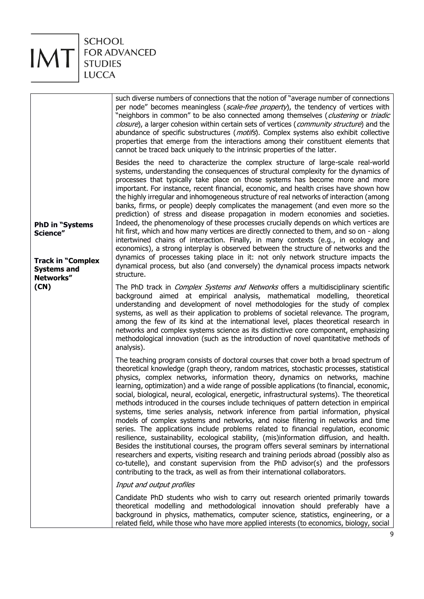

 $\mathsf{T}$ 

| <b>PhD in "Systems</b><br>Science"<br><b>Track in "Complex</b><br><b>Systems and</b><br>Networks"<br>(CN) | such diverse numbers of connections that the notion of "average number of connections"<br>per node" becomes meaningless (scale-free property), the tendency of vertices with<br>"neighbors in common" to be also connected among themselves (clustering or triadic<br>closure), a larger cohesion within certain sets of vertices (community structure) and the<br>abundance of specific substructures ( <i>motifs</i> ). Complex systems also exhibit collective<br>properties that emerge from the interactions among their constituent elements that<br>cannot be traced back uniquely to the intrinsic properties of the latter.                                                                                                                                                                                                                                                                                                                                                                                                                                                                                                                                                                                                                                                |
|-----------------------------------------------------------------------------------------------------------|-------------------------------------------------------------------------------------------------------------------------------------------------------------------------------------------------------------------------------------------------------------------------------------------------------------------------------------------------------------------------------------------------------------------------------------------------------------------------------------------------------------------------------------------------------------------------------------------------------------------------------------------------------------------------------------------------------------------------------------------------------------------------------------------------------------------------------------------------------------------------------------------------------------------------------------------------------------------------------------------------------------------------------------------------------------------------------------------------------------------------------------------------------------------------------------------------------------------------------------------------------------------------------------|
|                                                                                                           | Besides the need to characterize the complex structure of large-scale real-world<br>systems, understanding the consequences of structural complexity for the dynamics of<br>processes that typically take place on those systems has become more and more<br>important. For instance, recent financial, economic, and health crises have shown how<br>the highly irregular and inhomogeneous structure of real networks of interaction (among<br>banks, firms, or people) deeply complicates the management (and even more so the<br>prediction) of stress and disease propagation in modern economies and societies.<br>Indeed, the phenomenology of these processes crucially depends on which vertices are<br>hit first, which and how many vertices are directly connected to them, and so on - along<br>intertwined chains of interaction. Finally, in many contexts (e.g., in ecology and<br>economics), a strong interplay is observed between the structure of networks and the<br>dynamics of processes taking place in it: not only network structure impacts the<br>dynamical process, but also (and conversely) the dynamical process impacts network<br>structure.                                                                                                     |
|                                                                                                           | The PhD track in <i>Complex Systems and Networks</i> offers a multidisciplinary scientific<br>background aimed at empirical analysis, mathematical modelling, theoretical<br>understanding and development of novel methodologies for the study of complex<br>systems, as well as their application to problems of societal relevance. The program,<br>among the few of its kind at the international level, places theoretical research in<br>networks and complex systems science as its distinctive core component, emphasizing<br>methodological innovation (such as the introduction of novel quantitative methods of<br>analysis).                                                                                                                                                                                                                                                                                                                                                                                                                                                                                                                                                                                                                                            |
|                                                                                                           | The teaching program consists of doctoral courses that cover both a broad spectrum of<br>theoretical knowledge (graph theory, random matrices, stochastic processes, statistical<br>physics, complex networks, information theory, dynamics on networks, machine<br>learning, optimization) and a wide range of possible applications (to financial, economic,<br>social, biological, neural, ecological, energetic, infrastructural systems). The theoretical<br>methods introduced in the courses include techniques of pattern detection in empirical<br>systems, time series analysis, network inference from partial information, physical<br>models of complex systems and networks, and noise filtering in networks and time<br>series. The applications include problems related to financial regulation, economic<br>resilience, sustainability, ecological stability, (mis)information diffusion, and health.<br>Besides the institutional courses, the program offers several seminars by international<br>researchers and experts, visiting research and training periods abroad (possibly also as<br>co-tutelle), and constant supervision from the PhD advisor(s) and the professors<br>contributing to the track, as well as from their international collaborators. |
|                                                                                                           | Input and output profiles                                                                                                                                                                                                                                                                                                                                                                                                                                                                                                                                                                                                                                                                                                                                                                                                                                                                                                                                                                                                                                                                                                                                                                                                                                                           |
|                                                                                                           | Candidate PhD students who wish to carry out research oriented primarily towards<br>theoretical modelling and methodological innovation should preferably have a<br>background in physics, mathematics, computer science, statistics, engineering, or a<br>related field, while those who have more applied interests (to economics, biology, social                                                                                                                                                                                                                                                                                                                                                                                                                                                                                                                                                                                                                                                                                                                                                                                                                                                                                                                                |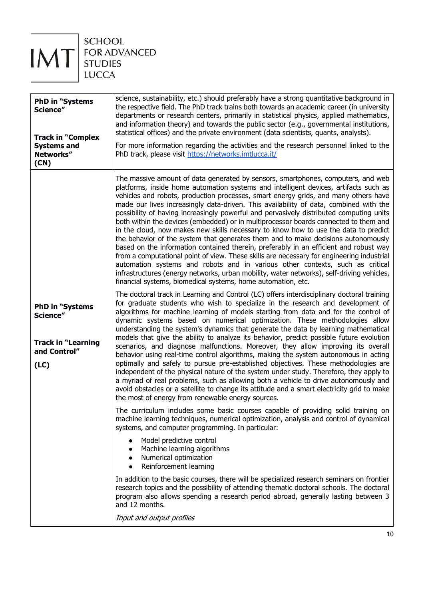

SCHOOL FOR ADVANCED<br>STUDIES LUCCA

| <b>PhD in "Systems</b><br>Science"<br><b>Track in "Complex</b><br><b>Systems and</b><br>Networks"<br>(CN) | science, sustainability, etc.) should preferably have a strong quantitative background in<br>the respective field. The PhD track trains both towards an academic career (in university<br>departments or research centers, primarily in statistical physics, applied mathematics,<br>and information theory) and towards the public sector (e.g., governmental institutions,<br>statistical offices) and the private environment (data scientists, quants, analysts).<br>For more information regarding the activities and the research personnel linked to the<br>PhD track, please visit https://networks.imtlucca.it/                                                                                                                                                                                                                                                                                                                                                                                                                                                                                                                                    |
|-----------------------------------------------------------------------------------------------------------|-------------------------------------------------------------------------------------------------------------------------------------------------------------------------------------------------------------------------------------------------------------------------------------------------------------------------------------------------------------------------------------------------------------------------------------------------------------------------------------------------------------------------------------------------------------------------------------------------------------------------------------------------------------------------------------------------------------------------------------------------------------------------------------------------------------------------------------------------------------------------------------------------------------------------------------------------------------------------------------------------------------------------------------------------------------------------------------------------------------------------------------------------------------|
|                                                                                                           | The massive amount of data generated by sensors, smartphones, computers, and web<br>platforms, inside home automation systems and intelligent devices, artifacts such as<br>vehicles and robots, production processes, smart energy grids, and many others have<br>made our lives increasingly data-driven. This availability of data, combined with the<br>possibility of having increasingly powerful and pervasively distributed computing units<br>both within the devices (embedded) or in multiprocessor boards connected to them and<br>in the cloud, now makes new skills necessary to know how to use the data to predict<br>the behavior of the system that generates them and to make decisions autonomously<br>based on the information contained therein, preferably in an efficient and robust way<br>from a computational point of view. These skills are necessary for engineering industrial<br>automation systems and robots and in various other contexts, such as critical<br>infrastructures (energy networks, urban mobility, water networks), self-driving vehicles,<br>financial systems, biomedical systems, home automation, etc. |
| <b>PhD in "Systems</b><br>Science"<br><b>Track in "Learning</b><br>and Control"<br>(LC)                   | The doctoral track in Learning and Control (LC) offers interdisciplinary doctoral training<br>for graduate students who wish to specialize in the research and development of<br>algorithms for machine learning of models starting from data and for the control of<br>dynamic systems based on numerical optimization. These methodologies allow<br>understanding the system's dynamics that generate the data by learning mathematical<br>models that give the ability to analyze its behavior, predict possible future evolution<br>scenarios, and diagnose malfunctions. Moreover, they allow improving its overall<br>behavior using real-time control algorithms, making the system autonomous in acting<br>optimally and safely to pursue pre-established objectives. These methodologies are<br>independent of the physical nature of the system under study. Therefore, they apply to<br>a myriad of real problems, such as allowing both a vehicle to drive autonomously and<br>avoid obstacles or a satellite to change its attitude and a smart electricity grid to make<br>the most of energy from renewable energy sources.                  |
|                                                                                                           | The curriculum includes some basic courses capable of providing solid training on<br>machine learning techniques, numerical optimization, analysis and control of dynamical<br>systems, and computer programming. In particular:<br>Model predictive control<br>$\bullet$<br>Machine learning algorithms<br>Numerical optimization<br>$\bullet$                                                                                                                                                                                                                                                                                                                                                                                                                                                                                                                                                                                                                                                                                                                                                                                                             |
|                                                                                                           | Reinforcement learning<br>$\bullet$<br>In addition to the basic courses, there will be specialized research seminars on frontier<br>research topics and the possibility of attending thematic doctoral schools. The doctoral<br>program also allows spending a research period abroad, generally lasting between 3<br>and 12 months.<br>Input and output profiles                                                                                                                                                                                                                                                                                                                                                                                                                                                                                                                                                                                                                                                                                                                                                                                           |
|                                                                                                           |                                                                                                                                                                                                                                                                                                                                                                                                                                                                                                                                                                                                                                                                                                                                                                                                                                                                                                                                                                                                                                                                                                                                                             |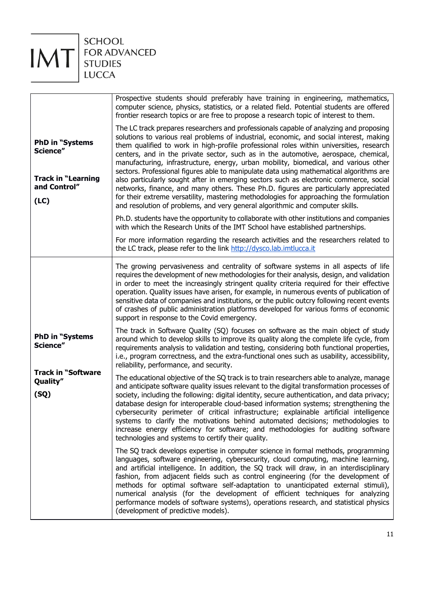

IMT

|                                                                                         | Prospective students should preferably have training in engineering, mathematics,<br>computer science, physics, statistics, or a related field. Potential students are offered<br>frontier research topics or are free to propose a research topic of interest to them.                                                                                                                                                                                                                                                                                                                                                                                                                                                                                                                                                                                                                                             |
|-----------------------------------------------------------------------------------------|---------------------------------------------------------------------------------------------------------------------------------------------------------------------------------------------------------------------------------------------------------------------------------------------------------------------------------------------------------------------------------------------------------------------------------------------------------------------------------------------------------------------------------------------------------------------------------------------------------------------------------------------------------------------------------------------------------------------------------------------------------------------------------------------------------------------------------------------------------------------------------------------------------------------|
| <b>PhD in "Systems</b><br>Science"<br><b>Track in "Learning</b><br>and Control"<br>(LC) | The LC track prepares researchers and professionals capable of analyzing and proposing<br>solutions to various real problems of industrial, economic, and social interest, making<br>them qualified to work in high-profile professional roles within universities, research<br>centers, and in the private sector, such as in the automotive, aerospace, chemical,<br>manufacturing, infrastructure, energy, urban mobility, biomedical, and various other<br>sectors. Professional figures able to manipulate data using mathematical algorithms are<br>also particularly sought after in emerging sectors such as electronic commerce, social<br>networks, finance, and many others. These Ph.D. figures are particularly appreciated<br>for their extreme versatility, mastering methodologies for approaching the formulation<br>and resolution of problems, and very general algorithmic and computer skills. |
|                                                                                         | Ph.D. students have the opportunity to collaborate with other institutions and companies<br>with which the Research Units of the IMT School have established partnerships.                                                                                                                                                                                                                                                                                                                                                                                                                                                                                                                                                                                                                                                                                                                                          |
|                                                                                         | For more information regarding the research activities and the researchers related to<br>the LC track, please refer to the link http://dysco.lab.imtlucca.it                                                                                                                                                                                                                                                                                                                                                                                                                                                                                                                                                                                                                                                                                                                                                        |
|                                                                                         | The growing pervasiveness and centrality of software systems in all aspects of life<br>requires the development of new methodologies for their analysis, design, and validation<br>in order to meet the increasingly stringent quality criteria required for their effective<br>operation. Quality issues have arisen, for example, in numerous events of publication of<br>sensitive data of companies and institutions, or the public outcry following recent events<br>of crashes of public administration platforms developed for various forms of economic<br>support in response to the Covid emergency.                                                                                                                                                                                                                                                                                                      |
| <b>PhD in "Systems</b><br>Science"<br><b>Track in "Software</b><br>Quality"<br>(SQ)     | The track in Software Quality (SQ) focuses on software as the main object of study<br>around which to develop skills to improve its quality along the complete life cycle, from<br>requirements analysis to validation and testing, considering both functional properties,<br>i.e., program correctness, and the extra-functional ones such as usability, accessibility,<br>reliability, performance, and security.                                                                                                                                                                                                                                                                                                                                                                                                                                                                                                |
|                                                                                         | The educational objective of the SQ track is to train researchers able to analyze, manage<br>and anticipate software quality issues relevant to the digital transformation processes of<br>society, including the following: digital identity, secure authentication, and data privacy;<br>database design for interoperable cloud-based information systems; strengthening the<br>cybersecurity perimeter of critical infrastructure; explainable artificial intelligence<br>systems to clarify the motivations behind automated decisions; methodologies to<br>increase energy efficiency for software; and methodologies for auditing software<br>technologies and systems to certify their quality.                                                                                                                                                                                                             |
|                                                                                         | The SQ track develops expertise in computer science in formal methods, programming<br>languages, software engineering, cybersecurity, cloud computing, machine learning,<br>and artificial intelligence. In addition, the SQ track will draw, in an interdisciplinary<br>fashion, from adjacent fields such as control engineering (for the development of<br>methods for optimal software self-adaptation to unanticipated external stimuli),<br>numerical analysis (for the development of efficient techniques for analyzing<br>performance models of software systems), operations research, and statistical physics<br>(development of predictive models).                                                                                                                                                                                                                                                     |